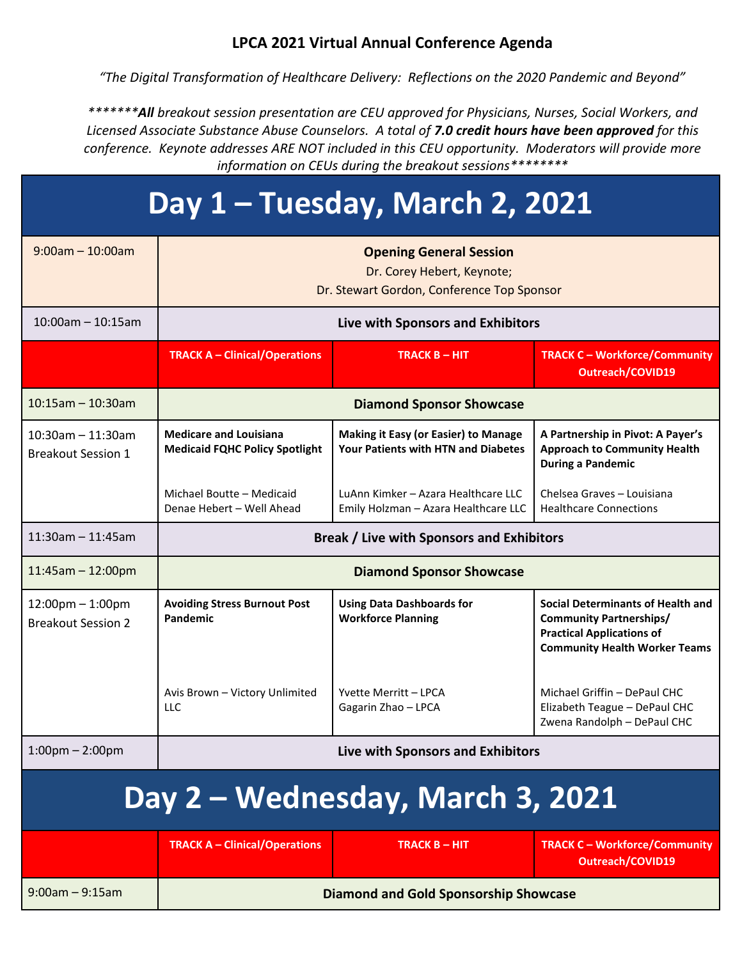#### **LPCA 2021 Virtual Annual Conference Agenda**

*"The Digital Transformation of Healthcare Delivery: Reflections on the 2020 Pandemic and Beyond"*

*\*\*\*\*\*\*\*All breakout session presentation are CEU approved for Physicians, Nurses, Social Workers, and Licensed Associate Substance Abuse Counselors. A total of 7.0 credit hours have been approved for this conference. Keynote addresses ARE NOT included in this CEU opportunity. Moderators will provide more information on CEUs during the breakout sessions\*\*\*\*\*\*\*\**

# **Day 1 – Tuesday, March 2, 2021**

| $9:00$ am - 10:00am                                | <b>Opening General Session</b><br>Dr. Corey Hebert, Keynote;<br>Dr. Stewart Gordon, Conference Top Sponsor |                                                                                           |                                                                                                                                                        |  |
|----------------------------------------------------|------------------------------------------------------------------------------------------------------------|-------------------------------------------------------------------------------------------|--------------------------------------------------------------------------------------------------------------------------------------------------------|--|
| $10:00$ am - 10:15am                               | Live with Sponsors and Exhibitors                                                                          |                                                                                           |                                                                                                                                                        |  |
|                                                    | <b>TRACK A - Clinical/Operations</b>                                                                       | <b>TRACK B - HIT</b>                                                                      | <b>TRACK C - Workforce/Community</b><br><b>Outreach/COVID19</b>                                                                                        |  |
| $10:15am - 10:30am$                                | <b>Diamond Sponsor Showcase</b>                                                                            |                                                                                           |                                                                                                                                                        |  |
| $10:30$ am - 11:30am<br><b>Breakout Session 1</b>  | <b>Medicare and Louisiana</b><br><b>Medicaid FQHC Policy Spotlight</b>                                     | <b>Making it Easy (or Easier) to Manage</b><br><b>Your Patients with HTN and Diabetes</b> | A Partnership in Pivot: A Payer's<br><b>Approach to Community Health</b><br><b>During a Pandemic</b>                                                   |  |
|                                                    | Michael Boutte - Medicaid<br>Denae Hebert - Well Ahead                                                     | LuAnn Kimker - Azara Healthcare LLC<br>Emily Holzman - Azara Healthcare LLC               | Chelsea Graves - Louisiana<br><b>Healthcare Connections</b>                                                                                            |  |
| $11:30$ am - $11:45$ am                            | <b>Break / Live with Sponsors and Exhibitors</b>                                                           |                                                                                           |                                                                                                                                                        |  |
| $11:45am - 12:00pm$                                | <b>Diamond Sponsor Showcase</b>                                                                            |                                                                                           |                                                                                                                                                        |  |
| $12:00$ pm $-1:00$ pm<br><b>Breakout Session 2</b> | <b>Avoiding Stress Burnout Post</b><br>Pandemic                                                            | <b>Using Data Dashboards for</b><br><b>Workforce Planning</b>                             | <b>Social Determinants of Health and</b><br><b>Community Partnerships/</b><br><b>Practical Applications of</b><br><b>Community Health Worker Teams</b> |  |
|                                                    | Avis Brown - Victory Unlimited<br><b>LLC</b>                                                               | Yvette Merritt – LPCA<br>Gagarin Zhao - LPCA                                              | Michael Griffin - DePaul CHC<br>Elizabeth Teague - DePaul CHC<br>Zwena Randolph - DePaul CHC                                                           |  |
| $1:00 \text{pm} - 2:00 \text{pm}$                  |                                                                                                            | Live with Sponsors and Exhibitors                                                         |                                                                                                                                                        |  |
| Day 2 - Wednesday, March 3, 2021                   |                                                                                                            |                                                                                           |                                                                                                                                                        |  |
|                                                    | <b>TRACK A - Clinical/Operations</b>                                                                       | <b>TRACK B - HIT</b>                                                                      | <b>TRACK C - Workforce/Community</b><br><b>Outreach/COVID19</b>                                                                                        |  |
| $9:00am - 9:15am$                                  | <b>Diamond and Gold Sponsorship Showcase</b>                                                               |                                                                                           |                                                                                                                                                        |  |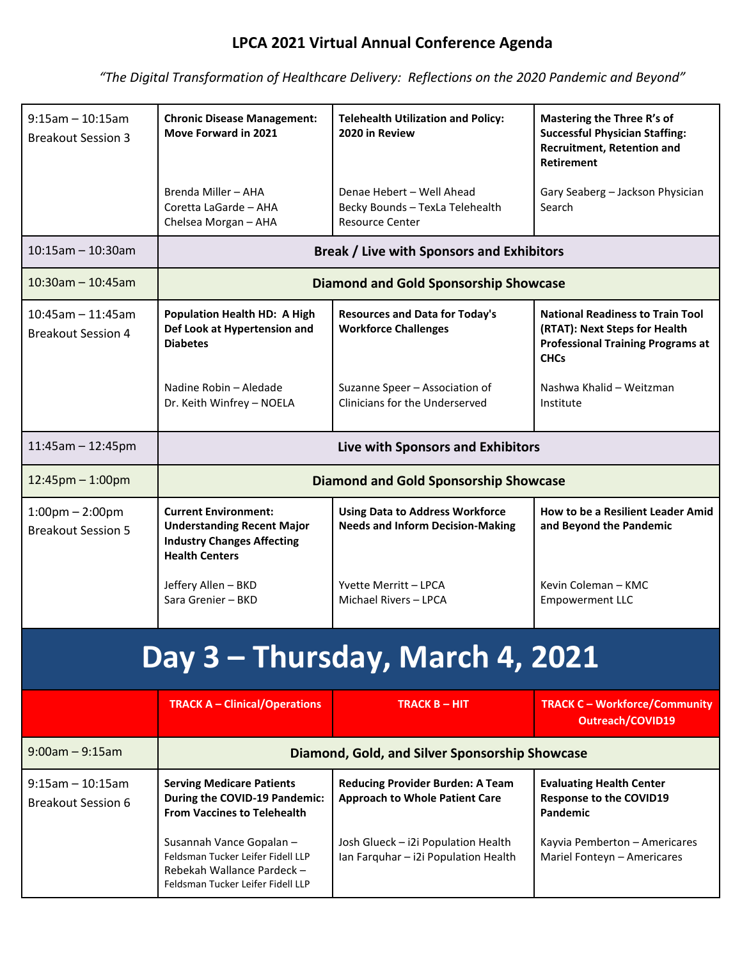## **LPCA 2021 Virtual Annual Conference Agenda**

*"The Digital Transformation of Healthcare Delivery: Reflections on the 2020 Pandemic and Beyond"*

| $9:15$ am - 10:15am<br><b>Breakout Session 3</b>               | <b>Chronic Disease Management:</b><br>Move Forward in 2021                                                                      | <b>Telehealth Utilization and Policy:</b><br>2020 in Review                       | <b>Mastering the Three R's of</b><br><b>Successful Physician Staffing:</b><br><b>Recruitment, Retention and</b>                     |  |
|----------------------------------------------------------------|---------------------------------------------------------------------------------------------------------------------------------|-----------------------------------------------------------------------------------|-------------------------------------------------------------------------------------------------------------------------------------|--|
|                                                                |                                                                                                                                 |                                                                                   | <b>Retirement</b>                                                                                                                   |  |
|                                                                | Brenda Miller - AHA<br>Coretta LaGarde - AHA<br>Chelsea Morgan - AHA                                                            | Denae Hebert - Well Ahead<br>Becky Bounds - TexLa Telehealth<br>Resource Center   | Gary Seaberg - Jackson Physician<br>Search                                                                                          |  |
| $10:15$ am - 10:30am                                           | <b>Break / Live with Sponsors and Exhibitors</b>                                                                                |                                                                                   |                                                                                                                                     |  |
| $10:30$ am - 10:45am                                           | <b>Diamond and Gold Sponsorship Showcase</b>                                                                                    |                                                                                   |                                                                                                                                     |  |
| $10:45$ am - 11:45am<br><b>Breakout Session 4</b>              | <b>Population Health HD: A High</b><br>Def Look at Hypertension and<br><b>Diabetes</b>                                          | <b>Resources and Data for Today's</b><br><b>Workforce Challenges</b>              | <b>National Readiness to Train Tool</b><br>(RTAT): Next Steps for Health<br><b>Professional Training Programs at</b><br><b>CHCs</b> |  |
|                                                                | Nadine Robin - Aledade<br>Dr. Keith Winfrey - NOELA                                                                             | Suzanne Speer - Association of<br>Clinicians for the Underserved                  | Nashwa Khalid - Weitzman<br>Institute                                                                                               |  |
| $11:45am - 12:45pm$                                            | Live with Sponsors and Exhibitors                                                                                               |                                                                                   |                                                                                                                                     |  |
| $12:45$ pm $-1:00$ pm                                          | <b>Diamond and Gold Sponsorship Showcase</b>                                                                                    |                                                                                   |                                                                                                                                     |  |
| $1:00 \text{pm} - 2:00 \text{pm}$<br><b>Breakout Session 5</b> | <b>Current Environment:</b><br><b>Understanding Recent Major</b><br><b>Industry Changes Affecting</b><br><b>Health Centers</b>  | <b>Using Data to Address Workforce</b><br><b>Needs and Inform Decision-Making</b> | How to be a Resilient Leader Amid<br>and Beyond the Pandemic                                                                        |  |
|                                                                | Jeffery Allen - BKD<br>Sara Grenier - BKD                                                                                       | Yvette Merritt - LPCA<br>Michael Rivers - LPCA                                    | Kevin Coleman - KMC<br><b>Empowerment LLC</b>                                                                                       |  |
| Day 3 - Thursday, March 4, 2021                                |                                                                                                                                 |                                                                                   |                                                                                                                                     |  |
|                                                                | <b>TRACK A - Clinical/Operations</b>                                                                                            | <b>TRACK B - HIT</b>                                                              | <b>TRACK C - Workforce/Community</b><br><b>Outreach/COVID19</b>                                                                     |  |
| $9:00am - 9:15am$                                              | Diamond, Gold, and Silver Sponsorship Showcase                                                                                  |                                                                                   |                                                                                                                                     |  |
| $9:15$ am - 10:15am<br><b>Breakout Session 6</b>               | <b>Serving Medicare Patients</b><br>During the COVID-19 Pandemic:<br><b>From Vaccines to Telehealth</b>                         | <b>Reducing Provider Burden: A Team</b><br><b>Approach to Whole Patient Care</b>  | <b>Evaluating Health Center</b><br><b>Response to the COVID19</b><br>Pandemic                                                       |  |
|                                                                | Susannah Vance Gopalan -<br>Feldsman Tucker Leifer Fidell LLP<br>Rebekah Wallance Pardeck-<br>Feldsman Tucker Leifer Fidell LLP | Josh Glueck - i2i Population Health<br>Ian Farquhar - i2i Population Health       | Kayvia Pemberton - Americares<br>Mariel Fonteyn - Americares                                                                        |  |